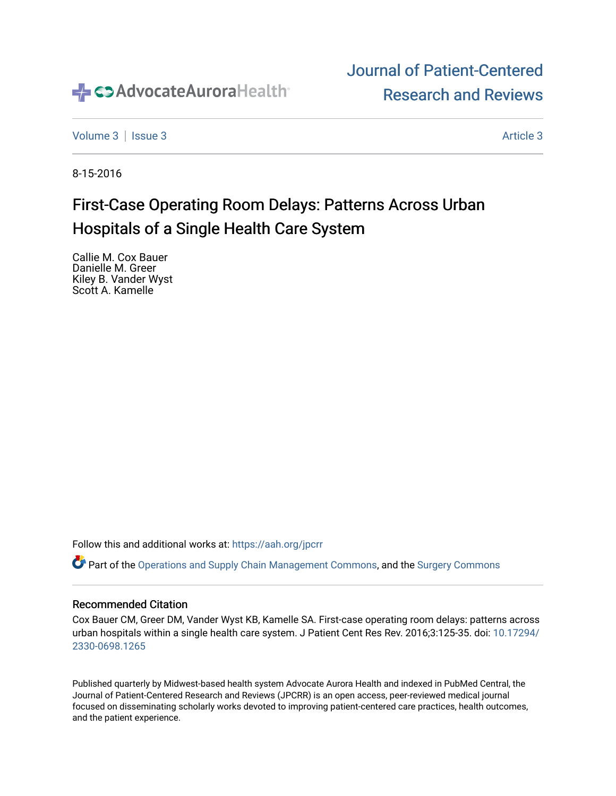

# [Journal of Patient-Centered](https://institutionalrepository.aah.org/jpcrr)  [Research and Reviews](https://institutionalrepository.aah.org/jpcrr)

[Volume 3](https://institutionalrepository.aah.org/jpcrr/vol3) | [Issue 3](https://institutionalrepository.aah.org/jpcrr/vol3/iss3) [Article 3](https://institutionalrepository.aah.org/jpcrr/vol3/iss3/3) Article 3 Article 3 Article 3 Article 3 Article 3 Article 3 Article 3 Article 3 Article 3 Article 3 Article 3 Article 3 Article 3 Article 3 Article 3 Article 3 Article 3 Article 3 Article 3 Art

8-15-2016

# First-Case Operating Room Delays: Patterns Across Urban Hospitals of a Single Health Care System

Callie M. Cox Bauer Danielle M. Greer Kiley B. Vander Wyst Scott A. Kamelle

Follow this and additional works at: [https://aah.org/jpcrr](https://institutionalrepository.aah.org/jpcrr?utm_source=institutionalrepository.aah.org%2Fjpcrr%2Fvol3%2Fiss3%2F3&utm_medium=PDF&utm_campaign=PDFCoverPages) 

Part of the [Operations and Supply Chain Management Commons,](http://network.bepress.com/hgg/discipline/1229?utm_source=institutionalrepository.aah.org%2Fjpcrr%2Fvol3%2Fiss3%2F3&utm_medium=PDF&utm_campaign=PDFCoverPages) and the [Surgery Commons](http://network.bepress.com/hgg/discipline/706?utm_source=institutionalrepository.aah.org%2Fjpcrr%2Fvol3%2Fiss3%2F3&utm_medium=PDF&utm_campaign=PDFCoverPages)

### Recommended Citation

Cox Bauer CM, Greer DM, Vander Wyst KB, Kamelle SA. First-case operating room delays: patterns across urban hospitals within a single health care system. J Patient Cent Res Rev. 2016;3:125-35. doi: [10.17294/](http://dx.doi.org/10.17294/2330-0698.1265) [2330-0698.1265](http://dx.doi.org/10.17294/2330-0698.1265) 

Published quarterly by Midwest-based health system Advocate Aurora Health and indexed in PubMed Central, the Journal of Patient-Centered Research and Reviews (JPCRR) is an open access, peer-reviewed medical journal focused on disseminating scholarly works devoted to improving patient-centered care practices, health outcomes, and the patient experience.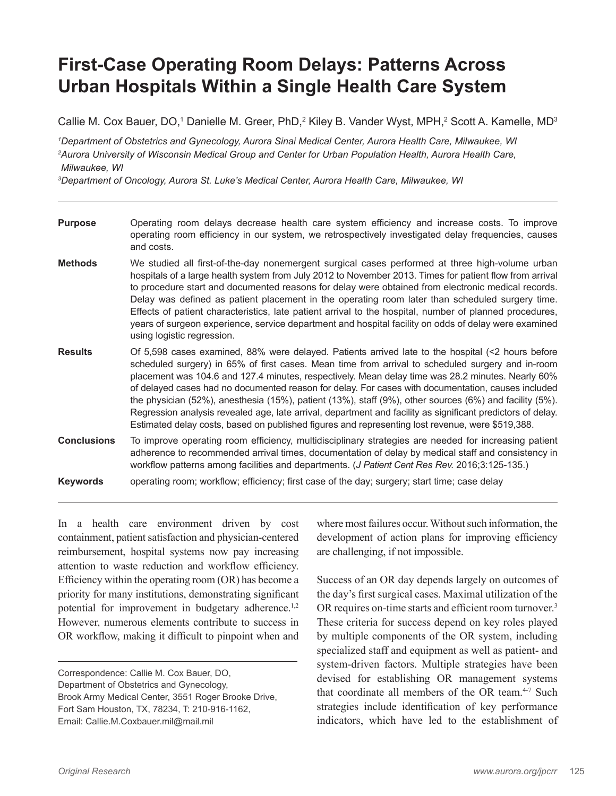# **First-Case Operating Room Delays: Patterns Across Urban Hospitals Within a Single Health Care System**

Callie M. Cox Bauer, DO,<sup>1</sup> Danielle M. Greer, PhD,<sup>2</sup> Kiley B. Vander Wyst, MPH,<sup>2</sup> Scott A. Kamelle, MD<sup>3</sup>

*1 Department of Obstetrics and Gynecology, Aurora Sinai Medical Center, Aurora Health Care, Milwaukee, WI 2 Aurora University of Wisconsin Medical Group and Center for Urban Population Health, Aurora Health Care, Milwaukee, WI*

*3 Department of Oncology, Aurora St. Luke's Medical Center, Aurora Health Care, Milwaukee, WI* 

| <b>Purpose</b>     | Operating room delays decrease health care system efficiency and increase costs. To improve<br>operating room efficiency in our system, we retrospectively investigated delay frequencies, causes<br>and costs.                                                                                                                                                                                                                                                                                                                                                                                                                                                                                                                                 |
|--------------------|-------------------------------------------------------------------------------------------------------------------------------------------------------------------------------------------------------------------------------------------------------------------------------------------------------------------------------------------------------------------------------------------------------------------------------------------------------------------------------------------------------------------------------------------------------------------------------------------------------------------------------------------------------------------------------------------------------------------------------------------------|
| <b>Methods</b>     | We studied all first-of-the-day nonemergent surgical cases performed at three high-volume urban<br>hospitals of a large health system from July 2012 to November 2013. Times for patient flow from arrival<br>to procedure start and documented reasons for delay were obtained from electronic medical records.<br>Delay was defined as patient placement in the operating room later than scheduled surgery time.<br>Effects of patient characteristics, late patient arrival to the hospital, number of planned procedures,<br>years of surgeon experience, service department and hospital facility on odds of delay were examined<br>using logistic regression.                                                                            |
| <b>Results</b>     | Of 5,598 cases examined, 88% were delayed. Patients arrived late to the hospital (<2 hours before<br>scheduled surgery) in 65% of first cases. Mean time from arrival to scheduled surgery and in-room<br>placement was 104.6 and 127.4 minutes, respectively. Mean delay time was 28.2 minutes. Nearly 60%<br>of delayed cases had no documented reason for delay. For cases with documentation, causes included<br>the physician (52%), anesthesia (15%), patient (13%), staff (9%), other sources (6%) and facility (5%).<br>Regression analysis revealed age, late arrival, department and facility as significant predictors of delay.<br>Estimated delay costs, based on published figures and representing lost revenue, were \$519,388. |
| <b>Conclusions</b> | To improve operating room efficiency, multidisciplinary strategies are needed for increasing patient<br>adherence to recommended arrival times, documentation of delay by medical staff and consistency in<br>workflow patterns among facilities and departments. (J Patient Cent Res Rev. 2016;3:125-135.)                                                                                                                                                                                                                                                                                                                                                                                                                                     |
| <b>Keywords</b>    | operating room; workflow; efficiency; first case of the day; surgery; start time; case delay                                                                                                                                                                                                                                                                                                                                                                                                                                                                                                                                                                                                                                                    |

In a health care environment driven by cost containment, patient satisfaction and physician-centered reimbursement, hospital systems now pay increasing attention to waste reduction and workflow efficiency. Efficiency within the operating room (OR) has become a priority for many institutions, demonstrating significant potential for improvement in budgetary adherence.<sup>1,2</sup> However, numerous elements contribute to success in OR workflow, making it difficult to pinpoint when and

Correspondence: Callie M. Cox Bauer, DO, Department of Obstetrics and Gynecology, Brook Army Medical Center, 3551 Roger Brooke Drive, Fort Sam Houston, TX, 78234, T: 210-916-1162, Email: Callie.M.Coxbauer.mil@mail.mil

where most failures occur. Without such information, the development of action plans for improving efficiency are challenging, if not impossible.

Success of an OR day depends largely on outcomes of the day's first surgical cases. Maximal utilization of the OR requires on-time starts and efficient room turnover.<sup>3</sup> These criteria for success depend on key roles played by multiple components of the OR system, including specialized staff and equipment as well as patient- and system-driven factors. Multiple strategies have been devised for establishing OR management systems that coordinate all members of the OR team.<sup>4-7</sup> Such strategies include identification of key performance indicators, which have led to the establishment of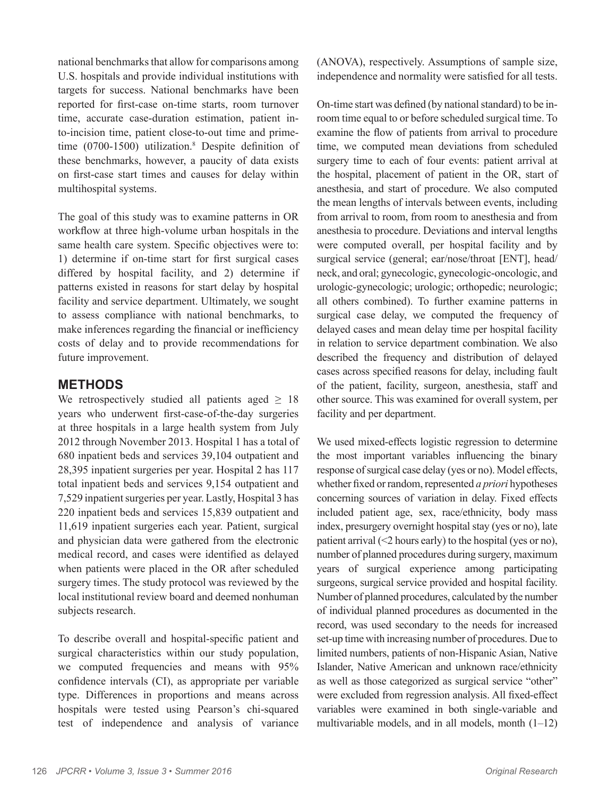national benchmarks that allow for comparisons among U.S. hospitals and provide individual institutions with targets for success. National benchmarks have been reported for first-case on-time starts, room turnover time, accurate case-duration estimation, patient into-incision time, patient close-to-out time and primetime (0700-1500) utilization.<sup>8</sup> Despite definition of these benchmarks, however, a paucity of data exists on first-case start times and causes for delay within multihospital systems.

The goal of this study was to examine patterns in OR workflow at three high-volume urban hospitals in the same health care system. Specific objectives were to: 1) determine if on-time start for first surgical cases differed by hospital facility, and 2) determine if patterns existed in reasons for start delay by hospital facility and service department. Ultimately, we sought to assess compliance with national benchmarks, to make inferences regarding the financial or inefficiency costs of delay and to provide recommendations for future improvement.

## **METHODS**

We retrospectively studied all patients aged  $\geq$  18 years who underwent first-case-of-the-day surgeries at three hospitals in a large health system from July 2012 through November 2013. Hospital 1 has a total of 680 inpatient beds and services 39,104 outpatient and 28,395 inpatient surgeries per year. Hospital 2 has 117 total inpatient beds and services 9,154 outpatient and 7,529 inpatient surgeries per year. Lastly, Hospital 3 has 220 inpatient beds and services 15,839 outpatient and 11,619 inpatient surgeries each year. Patient, surgical and physician data were gathered from the electronic medical record, and cases were identified as delayed when patients were placed in the OR after scheduled surgery times. The study protocol was reviewed by the local institutional review board and deemed nonhuman subjects research.

To describe overall and hospital-specific patient and surgical characteristics within our study population, we computed frequencies and means with 95% confidence intervals (CI), as appropriate per variable type. Differences in proportions and means across hospitals were tested using Pearson's chi-squared test of independence and analysis of variance (ANOVA), respectively. Assumptions of sample size, independence and normality were satisfied for all tests.

On-time start was defined (by national standard) to be inroom time equal to or before scheduled surgical time. To examine the flow of patients from arrival to procedure time, we computed mean deviations from scheduled surgery time to each of four events: patient arrival at the hospital, placement of patient in the OR, start of anesthesia, and start of procedure. We also computed the mean lengths of intervals between events, including from arrival to room, from room to anesthesia and from anesthesia to procedure. Deviations and interval lengths were computed overall, per hospital facility and by surgical service (general; ear/nose/throat [ENT], head/ neck, and oral; gynecologic, gynecologic-oncologic, and urologic-gynecologic; urologic; orthopedic; neurologic; all others combined). To further examine patterns in surgical case delay, we computed the frequency of delayed cases and mean delay time per hospital facility in relation to service department combination. We also described the frequency and distribution of delayed cases across specified reasons for delay, including fault of the patient, facility, surgeon, anesthesia, staff and other source. This was examined for overall system, per facility and per department.

We used mixed-effects logistic regression to determine the most important variables influencing the binary response of surgical case delay (yes or no). Model effects, whether fixed or random, represented *a priori* hypotheses concerning sources of variation in delay. Fixed effects included patient age, sex, race/ethnicity, body mass index, presurgery overnight hospital stay (yes or no), late patient arrival  $(\leq 2$  hours early) to the hospital (yes or no), number of planned procedures during surgery, maximum years of surgical experience among participating surgeons, surgical service provided and hospital facility. Number of planned procedures, calculated by the number of individual planned procedures as documented in the record, was used secondary to the needs for increased set-up time with increasing number of procedures. Due to limited numbers, patients of non-Hispanic Asian, Native Islander, Native American and unknown race/ethnicity as well as those categorized as surgical service "other" were excluded from regression analysis. All fixed-effect variables were examined in both single-variable and multivariable models, and in all models, month (1–12)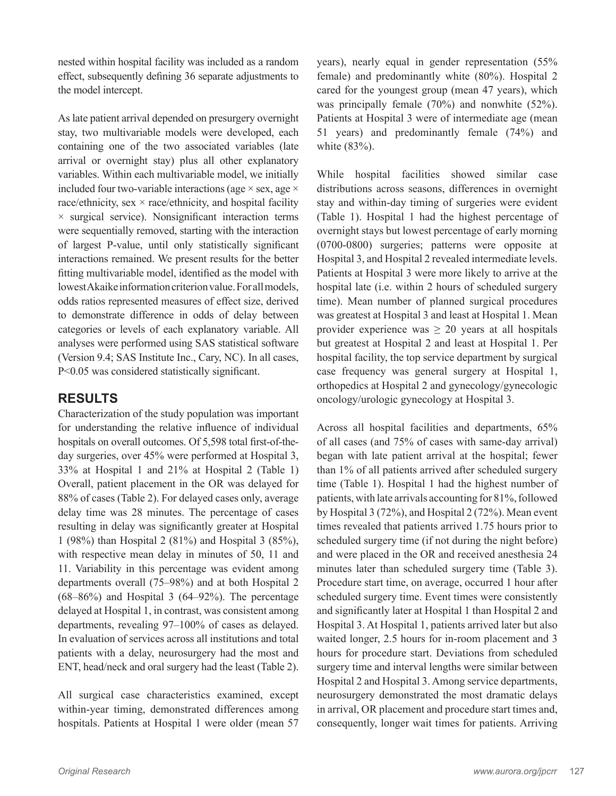nested within hospital facility was included as a random effect, subsequently defining 36 separate adjustments to the model intercept.

As late patient arrival depended on presurgery overnight stay, two multivariable models were developed, each containing one of the two associated variables (late arrival or overnight stay) plus all other explanatory variables. Within each multivariable model, we initially included four two-variable interactions (age  $\times$  sex, age  $\times$ race/ethnicity, sex  $\times$  race/ethnicity, and hospital facility  $\times$  surgical service). Nonsignificant interaction terms were sequentially removed, starting with the interaction of largest P-value, until only statistically significant interactions remained. We present results for the better fitting multivariable model, identified as the model with lowest Akaike information criterion value. For all models, odds ratios represented measures of effect size, derived to demonstrate difference in odds of delay between categories or levels of each explanatory variable. All analyses were performed using SAS statistical software (Version 9.4; SAS Institute Inc., Cary, NC). In all cases, P<0.05 was considered statistically significant.

## **RESULTS**

Characterization of the study population was important for understanding the relative influence of individual hospitals on overall outcomes. Of 5,598 total first-of-theday surgeries, over 45% were performed at Hospital 3, 33% at Hospital 1 and 21% at Hospital 2 (Table 1) Overall, patient placement in the OR was delayed for 88% of cases (Table 2). For delayed cases only, average delay time was 28 minutes. The percentage of cases resulting in delay was significantly greater at Hospital 1 (98%) than Hospital 2 (81%) and Hospital 3 (85%), with respective mean delay in minutes of 50, 11 and 11. Variability in this percentage was evident among departments overall (75–98%) and at both Hospital 2 (68–86%) and Hospital 3 (64–92%). The percentage delayed at Hospital 1, in contrast, was consistent among departments, revealing 97–100% of cases as delayed. In evaluation of services across all institutions and total patients with a delay, neurosurgery had the most and ENT, head/neck and oral surgery had the least (Table 2).

All surgical case characteristics examined, except within-year timing, demonstrated differences among hospitals. Patients at Hospital 1 were older (mean 57 years), nearly equal in gender representation (55% female) and predominantly white (80%). Hospital 2 cared for the youngest group (mean 47 years), which was principally female (70%) and nonwhite (52%). Patients at Hospital 3 were of intermediate age (mean 51 years) and predominantly female (74%) and white (83%).

While hospital facilities showed similar case distributions across seasons, differences in overnight stay and within-day timing of surgeries were evident (Table 1). Hospital 1 had the highest percentage of overnight stays but lowest percentage of early morning (0700-0800) surgeries; patterns were opposite at Hospital 3, and Hospital 2 revealed intermediate levels. Patients at Hospital 3 were more likely to arrive at the hospital late (i.e. within 2 hours of scheduled surgery time). Mean number of planned surgical procedures was greatest at Hospital 3 and least at Hospital 1. Mean provider experience was  $\geq 20$  years at all hospitals but greatest at Hospital 2 and least at Hospital 1. Per hospital facility, the top service department by surgical case frequency was general surgery at Hospital 1, orthopedics at Hospital 2 and gynecology/gynecologic oncology/urologic gynecology at Hospital 3.

Across all hospital facilities and departments, 65% of all cases (and 75% of cases with same-day arrival) began with late patient arrival at the hospital; fewer than 1% of all patients arrived after scheduled surgery time (Table 1). Hospital 1 had the highest number of patients, with late arrivals accounting for 81%, followed by Hospital 3 (72%), and Hospital 2 (72%). Mean event times revealed that patients arrived 1.75 hours prior to scheduled surgery time (if not during the night before) and were placed in the OR and received anesthesia 24 minutes later than scheduled surgery time (Table 3). Procedure start time, on average, occurred 1 hour after scheduled surgery time. Event times were consistently and significantly later at Hospital 1 than Hospital 2 and Hospital 3. At Hospital 1, patients arrived later but also waited longer, 2.5 hours for in-room placement and 3 hours for procedure start. Deviations from scheduled surgery time and interval lengths were similar between Hospital 2 and Hospital 3. Among service departments, neurosurgery demonstrated the most dramatic delays in arrival, OR placement and procedure start times and, consequently, longer wait times for patients. Arriving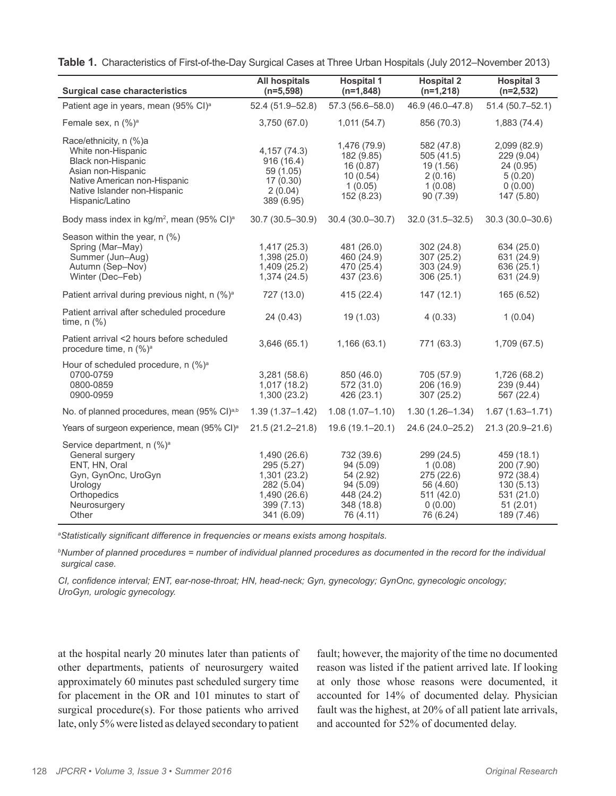| <b>Surgical case characteristics</b>                                                                                                                                        | <b>All hospitals</b><br>$(n=5,598)$                                                                | <b>Hospital 1</b><br>$(n=1,848)$                                                           | <b>Hospital 2</b><br>$(n=1,218)$                                                       | <b>Hospital 3</b><br>$(n=2,532)$                                                            |
|-----------------------------------------------------------------------------------------------------------------------------------------------------------------------------|----------------------------------------------------------------------------------------------------|--------------------------------------------------------------------------------------------|----------------------------------------------------------------------------------------|---------------------------------------------------------------------------------------------|
| Patient age in years, mean (95% CI) <sup>a</sup>                                                                                                                            | 52.4 (51.9-52.8)                                                                                   | 57.3 (56.6-58.0)                                                                           | 46.9 (46.0-47.8)                                                                       | $51.4(50.7 - 52.1)$                                                                         |
| Female sex, n (%) <sup>a</sup>                                                                                                                                              | 3,750 (67.0)                                                                                       | 1,011(54.7)                                                                                | 856 (70.3)                                                                             | 1,883 (74.4)                                                                                |
| Race/ethnicity, n (%)a<br>White non-Hispanic<br>Black non-Hispanic<br>Asian non-Hispanic<br>Native American non-Hispanic<br>Native Islander non-Hispanic<br>Hispanic/Latino | 4, 157 (74.3)<br>916(16.4)<br>59 (1.05)<br>17(0.30)<br>2(0.04)<br>389 (6.95)                       | 1,476 (79.9)<br>182 (9.85)<br>16(0.87)<br>10(0.54)<br>1(0.05)<br>152 (8.23)                | 582 (47.8)<br>505 (41.5)<br>19 (1.56)<br>2(0.16)<br>1(0.08)<br>90(7.39)                | 2,099 (82.9)<br>229 (9.04)<br>24 (0.95)<br>5(0.20)<br>0(0.00)<br>147 (5.80)                 |
| Body mass index in kg/m <sup>2</sup> , mean (95% CI) <sup>a</sup>                                                                                                           | 30.7 (30.5-30.9)                                                                                   | $30.4(30.0 - 30.7)$                                                                        | $32.0(31.5 - 32.5)$                                                                    | $30.3(30.0 - 30.6)$                                                                         |
| Season within the year, n (%)<br>Spring (Mar-May)<br>Summer (Jun-Aug)<br>Autumn (Sep-Nov)<br>Winter (Dec-Feb)                                                               | 1,417(25.3)<br>1,398(25.0)<br>1.409(25.2)<br>1,374(24.5)                                           | 481 (26.0)<br>460 (24.9)<br>470 (25.4)<br>437 (23.6)                                       | 302 (24.8)<br>307 (25.2)<br>303 (24.9)<br>306(25.1)                                    | 634 (25.0)<br>631 (24.9)<br>636 (25.1)<br>631 (24.9)                                        |
| Patient arrival during previous night, n (%) <sup>a</sup>                                                                                                                   | 727 (13.0)                                                                                         | 415 (22.4)                                                                                 | 147 (12.1)                                                                             | 165 (6.52)                                                                                  |
| Patient arrival after scheduled procedure<br>time, $n$ $%$                                                                                                                  | 24 (0.43)                                                                                          | 19 (1.03)                                                                                  | 4(0.33)                                                                                | 1(0.04)                                                                                     |
| Patient arrival <2 hours before scheduled<br>procedure time, n (%) <sup>a</sup>                                                                                             | 3,646(65.1)                                                                                        | 1,166(63.1)                                                                                | 771 (63.3)                                                                             | 1,709 (67.5)                                                                                |
| Hour of scheduled procedure, n (%) <sup>a</sup><br>0700-0759<br>0800-0859<br>0900-0959                                                                                      | 3,281(58.6)<br>1,017(18.2)<br>1,300(23.2)                                                          | 850 (46.0)<br>572 (31.0)<br>426 (23.1)                                                     | 705 (57.9)<br>206 (16.9)<br>307 (25.2)                                                 | 1,726 (68.2)<br>239 (9.44)<br>567 (22.4)                                                    |
| No. of planned procedures, mean (95% CI)a,b                                                                                                                                 | $1.39(1.37 - 1.42)$                                                                                | $1.08(1.07 - 1.10)$                                                                        | $1.30(1.26 - 1.34)$                                                                    | $1.67(1.63 - 1.71)$                                                                         |
| Years of surgeon experience, mean (95% CI) <sup>a</sup>                                                                                                                     | $21.5(21.2 - 21.8)$                                                                                | 19.6 (19.1-20.1)                                                                           | 24.6 (24.0-25.2)                                                                       | 21.3 (20.9-21.6)                                                                            |
| Service department, n (%) <sup>a</sup><br>General surgery<br>ENT, HN, Oral<br>Gyn, GynOnc, UroGyn<br>Urology<br>Orthopedics<br>Neurosurgery<br>Other                        | 1,490 (26.6)<br>295 (5.27)<br>1,301(23.2)<br>282 (5.04)<br>1,490(26.6)<br>399 (7.13)<br>341 (6.09) | 732 (39.6)<br>94 (5.09)<br>54 (2.92)<br>94 (5.09)<br>448 (24.2)<br>348 (18.8)<br>76 (4.11) | 299 (24.5)<br>1(0.08)<br>275 (22.6)<br>56 (4.60)<br>511 (42.0)<br>0(0.00)<br>76 (6.24) | 459 (18.1)<br>200 (7.90)<br>972 (38.4)<br>130(5.13)<br>531 (21.0)<br>51(2.01)<br>189 (7.46) |

**Table 1.** Characteristics of First-of-the-Day Surgical Cases at Three Urban Hospitals (July 2012–November 2013)

*a Statistically significant difference in frequencies or means exists among hospitals.*

*b Number of planned procedures = number of individual planned procedures as documented in the record for the individual surgical case.*

*CI, confidence interval; ENT, ear-nose-throat; HN, head-neck; Gyn, gynecology; GynOnc, gynecologic oncology; UroGyn, urologic gynecology.*

at the hospital nearly 20 minutes later than patients of other departments, patients of neurosurgery waited approximately 60 minutes past scheduled surgery time for placement in the OR and 101 minutes to start of surgical procedure(s). For those patients who arrived late, only 5% were listed as delayed secondary to patient

fault; however, the majority of the time no documented reason was listed if the patient arrived late. If looking at only those whose reasons were documented, it accounted for 14% of documented delay. Physician fault was the highest, at 20% of all patient late arrivals, and accounted for 52% of documented delay.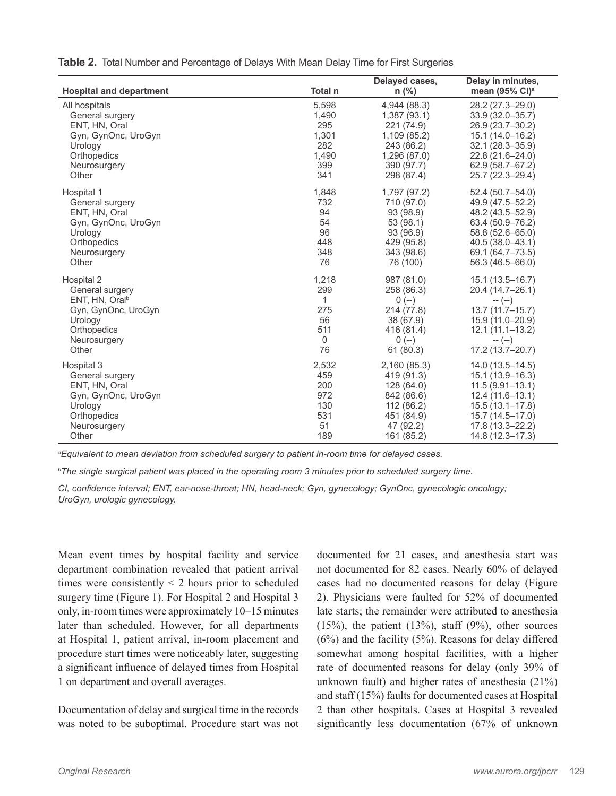**Table 2.** Total Number and Percentage of Delays With Mean Delay Time for First Surgeries

| <b>Hospital and department</b> | Total n      | Delayed cases,<br>$n$ (%) | Delay in minutes,<br>mean (95% CI) <sup>a</sup> |
|--------------------------------|--------------|---------------------------|-------------------------------------------------|
| All hospitals                  | 5,598        | 4,944 (88.3)              | 28.2 (27.3-29.0)                                |
| General surgery                | 1,490        | 1,387(93.1)               | $33.9(32.0 - 35.7)$                             |
| ENT, HN, Oral                  | 295          | 221 (74.9)                | 26.9 (23.7-30.2)                                |
| Gyn, GynOnc, UroGyn            | 1,301        | 1,109(85.2)               | 15.1 (14.0-16.2)                                |
| Urology                        | 282          | 243 (86.2)                | $32.1(28.3 - 35.9)$                             |
| Orthopedics                    | 1,490        | 1,296 (87.0)              | 22.8 (21.6-24.0)                                |
| Neurosurgery                   | 399          | 390 (97.7)                | 62.9 (58.7-67.2)                                |
| Other                          | 341          | 298 (87.4)                | 25.7 (22.3-29.4)                                |
| Hospital 1                     | 1,848        | 1,797 (97.2)              | 52.4 (50.7-54.0)                                |
| General surgery                | 732          | 710 (97.0)                | 49.9 (47.5-52.2)                                |
| ENT, HN, Oral                  | 94           | 93 (98.9)                 | 48.2 (43.5-52.9)                                |
| Gyn, GynOnc, UroGyn            | 54           | 53 (98.1)                 | 63.4 (50.9-76.2)                                |
| Urology                        | 96           | 93 (96.9)                 | 58.8 (52.6-65.0)                                |
| Orthopedics                    | 448          | 429 (95.8)                | 40.5 (38.0-43.1)                                |
| Neurosurgery                   | 348          | 343 (98.6)                | 69.1 (64.7-73.5)                                |
| Other                          | 76           | 76 (100)                  | 56.3 (46.5-66.0)                                |
| Hospital 2                     | 1,218        | 987 (81.0)                | $15.1(13.5 - 16.7)$                             |
| General surgery                | 299          | 258 (86.3)                | 20.4 (14.7-26.1)                                |
| ENT, HN, Oral <sup>b</sup>     | $\mathbf{1}$ | $0 (-)$                   | $-(-)$                                          |
| Gyn, GynOnc, UroGyn            | 275          | 214 (77.8)                | $13.7(11.7 - 15.7)$                             |
| Urology                        | 56           | 38 (67.9)                 | 15.9 (11.0-20.9)                                |
| Orthopedics                    | 511          | 416 (81.4)                | $12.1(11.1 - 13.2)$                             |
| Neurosurgery                   | $\mathbf 0$  | $0$ (--)                  | $-(-)$                                          |
| Other                          | 76           | 61 (80.3)                 | 17.2 (13.7-20.7)                                |
| Hospital 3                     | 2,532        | 2,160 (85.3)              | 14.0 (13.5-14.5)                                |
| General surgery                | 459          | 419 (91.3)                | 15.1 (13.9-16.3)                                |
| ENT, HN, Oral                  | 200          | 128 (64.0)                | $11.5(9.91 - 13.1)$                             |
| Gyn, GynOnc, UroGyn            | 972          | 842 (86.6)                | 12.4 (11.6-13.1)                                |
| Urology                        | 130          | 112 (86.2)                | $15.5(13.1 - 17.8)$                             |
| Orthopedics                    | 531          | 451 (84.9)                | 15.7 (14.5-17.0)                                |
| Neurosurgery                   | 51           | 47 (92.2)                 | 17.8 (13.3-22.2)                                |
| Other                          | 189          | 161 (85.2)                | 14.8 (12.3-17.3)                                |

*a Equivalent to mean deviation from scheduled surgery to patient in-room time for delayed cases.*

*b The single surgical patient was placed in the operating room 3 minutes prior to scheduled surgery time.*

*CI, confidence interval; ENT, ear-nose-throat; HN, head-neck; Gyn, gynecology; GynOnc, gynecologic oncology; UroGyn, urologic gynecology.*

Mean event times by hospital facility and service department combination revealed that patient arrival times were consistently  $\leq$  2 hours prior to scheduled surgery time (Figure 1). For Hospital 2 and Hospital 3 only, in-room times were approximately 10–15 minutes later than scheduled. However, for all departments at Hospital 1, patient arrival, in-room placement and procedure start times were noticeably later, suggesting a significant influence of delayed times from Hospital 1 on department and overall averages.

Documentation of delay and surgical time in the records was noted to be suboptimal. Procedure start was not documented for 21 cases, and anesthesia start was not documented for 82 cases. Nearly 60% of delayed cases had no documented reasons for delay (Figure 2). Physicians were faulted for 52% of documented late starts; the remainder were attributed to anesthesia  $(15%)$ , the patient  $(13%)$ , staff  $(9%)$ , other sources (6%) and the facility (5%). Reasons for delay differed somewhat among hospital facilities, with a higher rate of documented reasons for delay (only 39% of unknown fault) and higher rates of anesthesia (21%) and staff (15%) faults for documented cases at Hospital 2 than other hospitals. Cases at Hospital 3 revealed significantly less documentation (67% of unknown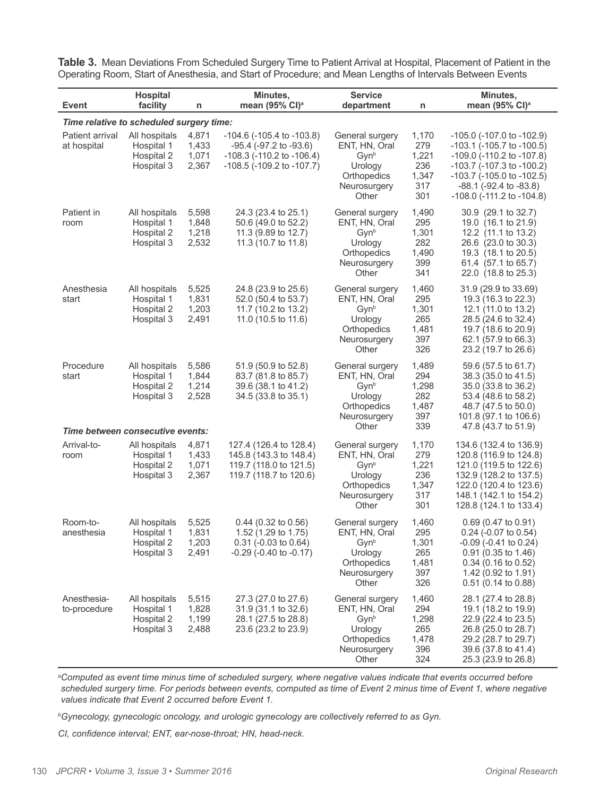**Table 3.** Mean Deviations From Scheduled Surgery Time to Patient Arrival at Hospital, Placement of Patient in the Operating Room, Start of Anesthesia, and Start of Procedure; and Mean Lengths of Intervals Between Events

| <b>Event</b>                                                                      | <b>Hospital</b><br>facility                             | n                                | Minutes,<br>mean (95% CI) <sup>a</sup>                                                                                                        | <b>Service</b><br>department                                                                            | n                                                   | Minutes,<br>mean (95% CI) <sup>a</sup>                                                                                                                                                                                                       |
|-----------------------------------------------------------------------------------|---------------------------------------------------------|----------------------------------|-----------------------------------------------------------------------------------------------------------------------------------------------|---------------------------------------------------------------------------------------------------------|-----------------------------------------------------|----------------------------------------------------------------------------------------------------------------------------------------------------------------------------------------------------------------------------------------------|
|                                                                                   |                                                         |                                  |                                                                                                                                               |                                                                                                         |                                                     |                                                                                                                                                                                                                                              |
| Time relative to scheduled surgery time:<br><b>Patient arrival</b><br>at hospital | All hospitals<br>Hospital 1<br>Hospital 2<br>Hospital 3 | 4,871<br>1,433<br>1,071<br>2,367 | $-104.6$ ( $-105.4$ to $-103.8$ )<br>$-95.4$ ( $-97.2$ to $-93.6$ )<br>$-108.3$ ( $-110.2$ to $-106.4$ )<br>$-108.5$ ( $-109.2$ to $-107.7$ ) | General surgery<br>ENT, HN, Oral<br>Gynb<br>Urology<br>Orthopedics<br>Neurosurgery<br>Other             | 1,170<br>279<br>1,221<br>236<br>1,347<br>317<br>301 | -105.0 (-107.0 to -102.9)<br>$-103.1$ ( $-105.7$ to $-100.5$ )<br>$-109.0$ ( $-110.2$ to $-107.8$ )<br>-103.7 (-107.3 to -100.2)<br>$-103.7$ ( $-105.0$ to $-102.5$ )<br>$-88.1$ ( $-92.4$ to $-83.8$ )<br>$-108.0$ ( $-111.2$ to $-104.8$ ) |
| Patient in<br>room                                                                | All hospitals<br>Hospital 1<br>Hospital 2<br>Hospital 3 | 5,598<br>1,848<br>1,218<br>2,532 | 24.3 (23.4 to 25.1)<br>50.6 (49.0 to 52.2)<br>11.3 (9.89 to 12.7)<br>11.3 (10.7 to 11.8)                                                      | General surgery<br>ENT, HN, Oral<br>Gynb<br>Urology<br>Orthopedics<br>Neurosurgery<br>Other             | 1,490<br>295<br>1,301<br>282<br>1,490<br>399<br>341 | 30.9 (29.1 to 32.7)<br>19.0 (16.1 to 21.9)<br>12.2 (11.1 to 13.2)<br>26.6 (23.0 to 30.3)<br>19.3 (18.1 to 20.5)<br>61.4 (57.1 to 65.7)<br>22.0 (18.8 to 25.3)                                                                                |
| Anesthesia<br>start                                                               | All hospitals<br>Hospital 1<br>Hospital 2<br>Hospital 3 | 5,525<br>1,831<br>1,203<br>2,491 | 24.8 (23.9 to 25.6)<br>52.0 (50.4 to 53.7)<br>11.7 (10.2 to 13.2)<br>11.0 (10.5 to 11.6)                                                      | General surgery<br>ENT, HN, Oral<br>Gyn <sup>b</sup><br>Urology<br>Orthopedics<br>Neurosurgery<br>Other | 1,460<br>295<br>1,301<br>265<br>1,481<br>397<br>326 | 31.9 (29.9 to 33.69)<br>19.3 (16.3 to 22.3)<br>12.1 (11.0 to 13.2)<br>28.5 (24.6 to 32.4)<br>19.7 (18.6 to 20.9)<br>62.1 (57.9 to 66.3)<br>23.2 (19.7 to 26.6)                                                                               |
| Procedure<br>start                                                                | All hospitals<br>Hospital 1<br>Hospital 2<br>Hospital 3 | 5,586<br>1,844<br>1,214<br>2,528 | 51.9 (50.9 to 52.8)<br>83.7 (81.8 to 85.7)<br>39.6 (38.1 to 41.2)<br>34.5 (33.8 to 35.1)                                                      | General surgery<br>ENT, HN, Oral<br>Gynb<br>Urology<br>Orthopedics<br>Neurosurgery<br>Other             | 1,489<br>294<br>1,298<br>282<br>1,487<br>397<br>339 | 59.6 (57.5 to 61.7)<br>38.3 (35.0 to 41.5)<br>35.0 (33.8 to 36.2)<br>53.4 (48.6 to 58.2)<br>48.7 (47.5 to 50.0)<br>101.8 (97.1 to 106.6)<br>47.8 (43.7 to 51.9)                                                                              |
| Time between consecutive events:                                                  |                                                         |                                  |                                                                                                                                               |                                                                                                         |                                                     |                                                                                                                                                                                                                                              |
| Arrival-to-<br>room                                                               | All hospitals<br>Hospital 1<br>Hospital 2<br>Hospital 3 | 4,871<br>1,433<br>1,071<br>2,367 | 127.4 (126.4 to 128.4)<br>145.8 (143.3 to 148.4)<br>119.7 (118.0 to 121.5)<br>119.7 (118.7 to 120.6)                                          | General surgery<br>ENT, HN, Oral<br>Gynb<br>Urology<br>Orthopedics<br>Neurosurgery<br>Other             | 1,170<br>279<br>1,221<br>236<br>1,347<br>317<br>301 | 134.6 (132.4 to 136.9)<br>120.8 (116.9 to 124.8)<br>121.0 (119.5 to 122.6)<br>132.9 (128.2 to 137.5)<br>122.0 (120.4 to 123.6)<br>148.1 (142.1 to 154.2)<br>128.8 (124.1 to 133.4)                                                           |
| Room-to-<br>anesthesia                                                            | All hospitals<br>Hospital 1<br>Hospital 2<br>Hospital 3 | 5.525<br>1,831<br>1,203<br>2,491 | 0.44 (0.32 to 0.56)<br>1.52 (1.29 to 1.75)<br>$0.31$ (-0.03 to 0.64)<br>$-0.29$ ( $-0.40$ to $-0.17$ )                                        | General surgery<br>ENT, HN, Oral<br>Gynb<br>Urology<br>Orthopedics<br>Neurosurgery<br>Other             | 1,460<br>295<br>1,301<br>265<br>1,481<br>397<br>326 | $0.69$ (0.47 to 0.91)<br>0.24 (-0.07 to 0.54)<br>$-0.09$ ( $-0.41$ to 0.24)<br>$0.91$ (0.35 to 1.46)<br>$0.34$ (0.16 to 0.52)<br>1.42 (0.92 to 1.91)<br>$0.51$ (0.14 to 0.88)                                                                |
| Anesthesia-<br>to-procedure                                                       | All hospitals<br>Hospital 1<br>Hospital 2<br>Hospital 3 | 5,515<br>1,828<br>1,199<br>2,488 | 27.3 (27.0 to 27.6)<br>31.9 (31.1 to 32.6)<br>28.1 (27.5 to 28.8)<br>23.6 (23.2 to 23.9)                                                      | General surgery<br>ENT, HN, Oral<br>Gynb<br>Urology<br>Orthopedics<br>Neurosurgery<br>Other             | 1,460<br>294<br>1,298<br>265<br>1,478<br>396<br>324 | 28.1 (27.4 to 28.8)<br>19.1 (18.2 to 19.9)<br>22.9 (22.4 to 23.5)<br>26.8 (25.0 to 28.7)<br>29.2 (28.7 to 29.7)<br>39.6 (37.8 to 41.4)<br>25.3 (23.9 to 26.8)                                                                                |

*a Computed as event time minus time of scheduled surgery, where negative values indicate that events occurred before scheduled surgery time. For periods between events, computed as time of Event 2 minus time of Event 1, where negative values indicate that Event 2 occurred before Event 1.*

*b Gynecology, gynecologic oncology, and urologic gynecology are collectively referred to as Gyn.*

*CI, confidence interval; ENT, ear-nose-throat; HN, head-neck.*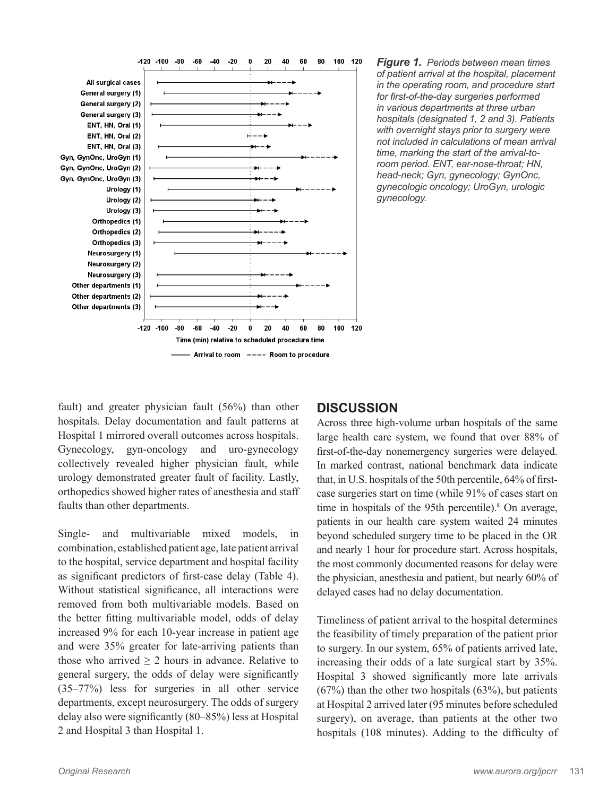

*Figure 1.**Periods between mean times of patient arrival at the hospital, placement in the operating room, and procedure start for first-of-the-day surgeries performed in various departments at three urban hospitals (designated 1, 2 and 3). Patients with overnight stays prior to surgery were not included in calculations of mean arrival time, marking the start of the arrival-toroom period. ENT, ear-nose-throat; HN, head-neck; Gyn, gynecology; GynOnc, gynecologic oncology; UroGyn, urologic gynecology.*

fault) and greater physician fault (56%) than other hospitals. Delay documentation and fault patterns at Hospital 1 mirrored overall outcomes across hospitals. Gynecology, gyn-oncology and uro-gynecology collectively revealed higher physician fault, while urology demonstrated greater fault of facility. Lastly, orthopedics showed higher rates of anesthesia and staff faults than other departments.

Single- and multivariable mixed models, in combination, established patient age, late patient arrival to the hospital, service department and hospital facility as significant predictors of first-case delay (Table 4). Without statistical significance, all interactions were removed from both multivariable models. Based on the better fitting multivariable model, odds of delay increased 9% for each 10-year increase in patient age and were 35% greater for late-arriving patients than those who arrived  $\geq 2$  hours in advance. Relative to general surgery, the odds of delay were significantly (35–77%) less for surgeries in all other service departments, except neurosurgery. The odds of surgery delay also were significantly (80–85%) less at Hospital 2 and Hospital 3 than Hospital 1.

## **DISCUSSION**

Across three high-volume urban hospitals of the same large health care system, we found that over 88% of first-of-the-day nonemergency surgeries were delayed. In marked contrast, national benchmark data indicate that, in U.S. hospitals of the 50th percentile, 64% of firstcase surgeries start on time (while 91% of cases start on time in hospitals of the 95th percentile).<sup>8</sup> On average, patients in our health care system waited 24 minutes beyond scheduled surgery time to be placed in the OR and nearly 1 hour for procedure start. Across hospitals, the most commonly documented reasons for delay were the physician, anesthesia and patient, but nearly 60% of delayed cases had no delay documentation.

Timeliness of patient arrival to the hospital determines the feasibility of timely preparation of the patient prior to surgery. In our system, 65% of patients arrived late, increasing their odds of a late surgical start by 35%. Hospital 3 showed significantly more late arrivals (67%) than the other two hospitals (63%), but patients at Hospital 2 arrived later (95 minutes before scheduled surgery), on average, than patients at the other two hospitals (108 minutes). Adding to the difficulty of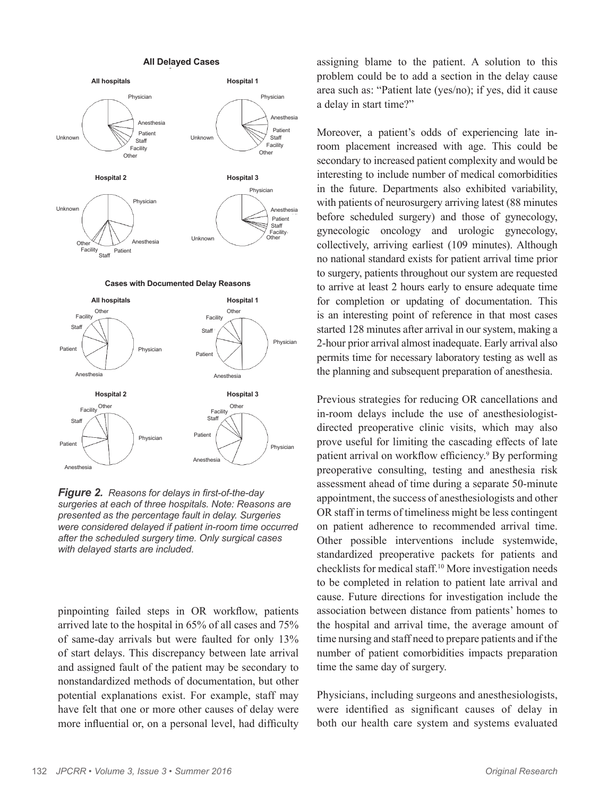

*Figure 2.**Reasons for delays in first-of-the-day surgeries at each of three hospitals. Note: Reasons are presented as the percentage fault in delay. Surgeries were considered delayed if patient in-room time occurred after the scheduled surgery time. Only surgical cases with delayed starts are included.*

pinpointing failed steps in OR workflow, patients arrived late to the hospital in 65% of all cases and 75% of same-day arrivals but were faulted for only 13% of start delays. This discrepancy between late arrival and assigned fault of the patient may be secondary to nonstandardized methods of documentation, but other potential explanations exist. For example, staff may have felt that one or more other causes of delay were more influential or, on a personal level, had difficulty assigning blame to the patient. A solution to this problem could be to add a section in the delay cause area such as: "Patient late (yes/no); if yes, did it cause a delay in start time?"

Moreover, a patient's odds of experiencing late inroom placement increased with age. This could be secondary to increased patient complexity and would be interesting to include number of medical comorbidities in the future. Departments also exhibited variability, with patients of neurosurgery arriving latest (88 minutes before scheduled surgery) and those of gynecology, gynecologic oncology and urologic gynecology, collectively, arriving earliest (109 minutes). Although no national standard exists for patient arrival time prior to surgery, patients throughout our system are requested to arrive at least 2 hours early to ensure adequate time for completion or updating of documentation. This is an interesting point of reference in that most cases started 128 minutes after arrival in our system, making a 2-hour prior arrival almost inadequate. Early arrival also permits time for necessary laboratory testing as well as the planning and subsequent preparation of anesthesia.

Previous strategies for reducing OR cancellations and in-room delays include the use of anesthesiologistdirected preoperative clinic visits, which may also prove useful for limiting the cascading effects of late patient arrival on workflow efficiency.<sup>9</sup> By performing preoperative consulting, testing and anesthesia risk assessment ahead of time during a separate 50-minute appointment, the success of anesthesiologists and other OR staff in terms of timeliness might be less contingent on patient adherence to recommended arrival time. Other possible interventions include systemwide, standardized preoperative packets for patients and checklists for medical staff.10 More investigation needs to be completed in relation to patient late arrival and cause. Future directions for investigation include the association between distance from patients' homes to the hospital and arrival time, the average amount of time nursing and staff need to prepare patients and if the number of patient comorbidities impacts preparation time the same day of surgery.

Physicians, including surgeons and anesthesiologists, were identified as significant causes of delay in both our health care system and systems evaluated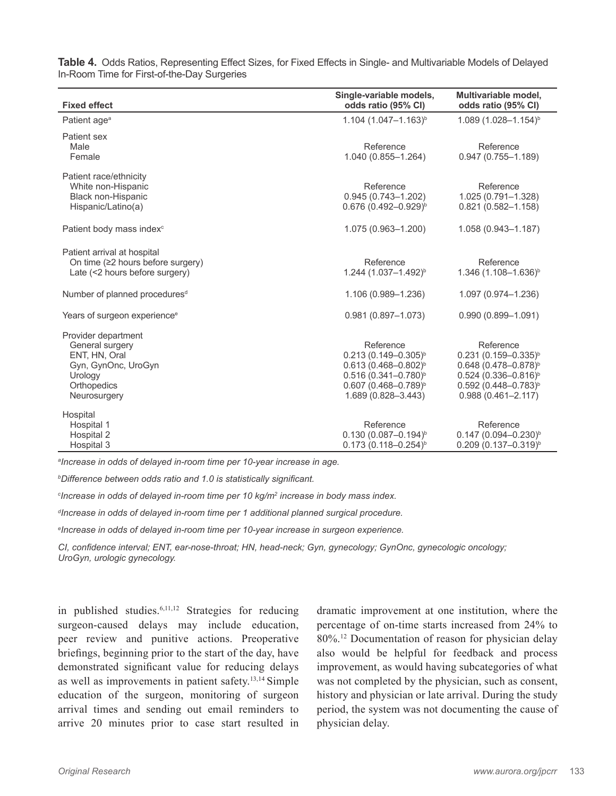| <b>Fixed effect</b>                                                                                                      | Single-variable models,<br>odds ratio (95% CI)                                                                                                                  | Multivariable model,<br>odds ratio (95% CI)                                                                                                                                         |
|--------------------------------------------------------------------------------------------------------------------------|-----------------------------------------------------------------------------------------------------------------------------------------------------------------|-------------------------------------------------------------------------------------------------------------------------------------------------------------------------------------|
| Patient age <sup>a</sup>                                                                                                 | $1.104$ (1.047-1.163) <sup>b</sup>                                                                                                                              | $1.089(1.028 - 1.154)^{b}$                                                                                                                                                          |
| Patient sex<br>Male<br>Female                                                                                            | Reference<br>1.040 (0.855-1.264)                                                                                                                                | Reference<br>$0.947(0.755 - 1.189)$                                                                                                                                                 |
| Patient race/ethnicity<br>White non-Hispanic<br>Black non-Hispanic<br>Hispanic/Latino(a)                                 | Reference<br>$0.945(0.743 - 1.202)$<br>$0.676$ (0.492-0.929) <sup>b</sup>                                                                                       | Reference<br>1.025 (0.791-1.328)<br>$0.821(0.582 - 1.158)$                                                                                                                          |
| Patient body mass index <sup>c</sup>                                                                                     | 1.075 (0.963-1.200)                                                                                                                                             | 1.058 (0.943-1.187)                                                                                                                                                                 |
| Patient arrival at hospital<br>On time (≥2 hours before surgery)<br>Late (<2 hours before surgery)                       | Reference<br>1.244 (1.037-1.492) <sup>b</sup>                                                                                                                   | Reference<br>1.346 (1.108-1.636) <sup>b</sup>                                                                                                                                       |
| Number of planned procedures <sup>d</sup>                                                                                | 1.106 (0.989-1.236)                                                                                                                                             | 1.097 (0.974-1.236)                                                                                                                                                                 |
| Years of surgeon experience <sup>e</sup>                                                                                 | $0.981(0.897 - 1.073)$                                                                                                                                          | $0.990(0.899 - 1.091)$                                                                                                                                                              |
| Provider department<br>General surgery<br>ENT, HN, Oral<br>Gyn, GynOnc, UroGyn<br>Urology<br>Orthopedics<br>Neurosurgery | Reference<br>$0.213(0.149 - 0.305)^{b}$<br>$0.613(0.468 - 0.802)^{b}$<br>$0.516 (0.341 - 0.780)^b$<br>$0.607$ (0.468-0.789) <sup>b</sup><br>1.689 (0.828-3.443) | Reference<br>$0.231(0.159 - 0.335)^{b}$<br>$0.648$ (0.478-0.878) <sup>b</sup><br>$0.524$ (0.336-0.816) <sup>b</sup><br>$0.592$ (0.448-0.783) <sup>b</sup><br>$0.988(0.461 - 2.117)$ |
| Hospital<br>Hospital 1<br>Hospital 2<br>Hospital 3                                                                       | Reference<br>$0.130(0.087 - 0.194)^{b}$<br>$0.173(0.118 - 0.254)^{b}$                                                                                           | Reference<br>$0.147$ (0.094-0.230) <sup>b</sup><br>$0.209$ $(0.137 - 0.319)^{b}$                                                                                                    |

**Table 4.** Odds Ratios, Representing Effect Sizes, for Fixed Effects in Single- and Multivariable Models of Delayed In-Room Time for First-of-the-Day Surgeries

*a Increase in odds of delayed in-room time per 10-year increase in age.*

*b Difference between odds ratio and 1.0 is statistically significant.*

*c Increase in odds of delayed in-room time per 10 kg/m<sup>2</sup> increase in body mass index.*

*d Increase in odds of delayed in-room time per 1 additional planned surgical procedure.*

*e Increase in odds of delayed in-room time per 10-year increase in surgeon experience.*

*CI, confidence interval; ENT, ear-nose-throat; HN, head-neck; Gyn, gynecology; GynOnc, gynecologic oncology; UroGyn, urologic gynecology.*

in published studies.6,11,12 Strategies for reducing surgeon-caused delays may include education, peer review and punitive actions. Preoperative briefings, beginning prior to the start of the day, have demonstrated significant value for reducing delays as well as improvements in patient safety.13,14 Simple education of the surgeon, monitoring of surgeon arrival times and sending out email reminders to arrive 20 minutes prior to case start resulted in dramatic improvement at one institution, where the percentage of on-time starts increased from 24% to 80%.12 Documentation of reason for physician delay also would be helpful for feedback and process improvement, as would having subcategories of what was not completed by the physician, such as consent, history and physician or late arrival. During the study period, the system was not documenting the cause of physician delay.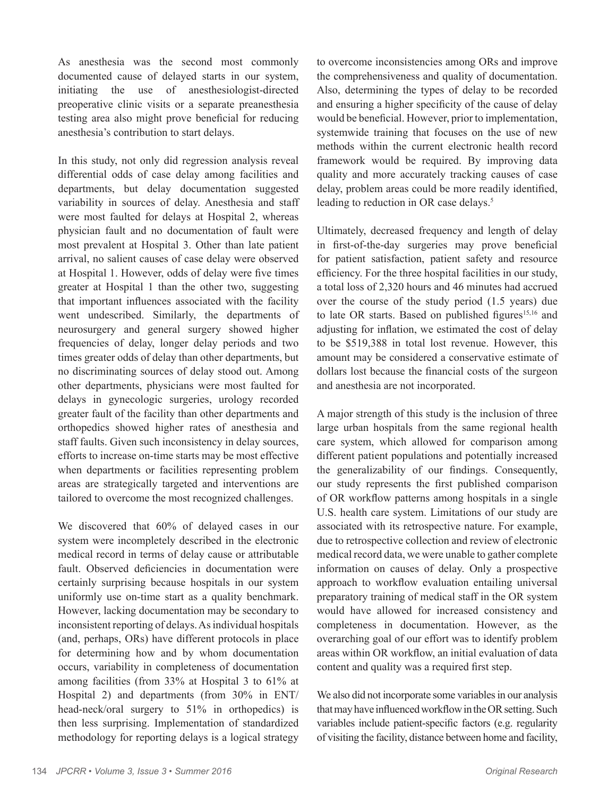As anesthesia was the second most commonly documented cause of delayed starts in our system, initiating the use of anesthesiologist-directed preoperative clinic visits or a separate preanesthesia testing area also might prove beneficial for reducing anesthesia's contribution to start delays.

In this study, not only did regression analysis reveal differential odds of case delay among facilities and departments, but delay documentation suggested variability in sources of delay. Anesthesia and staff were most faulted for delays at Hospital 2, whereas physician fault and no documentation of fault were most prevalent at Hospital 3. Other than late patient arrival, no salient causes of case delay were observed at Hospital 1. However, odds of delay were five times greater at Hospital 1 than the other two, suggesting that important influences associated with the facility went undescribed. Similarly, the departments of neurosurgery and general surgery showed higher frequencies of delay, longer delay periods and two times greater odds of delay than other departments, but no discriminating sources of delay stood out. Among other departments, physicians were most faulted for delays in gynecologic surgeries, urology recorded greater fault of the facility than other departments and orthopedics showed higher rates of anesthesia and staff faults. Given such inconsistency in delay sources, efforts to increase on-time starts may be most effective when departments or facilities representing problem areas are strategically targeted and interventions are tailored to overcome the most recognized challenges.

We discovered that 60% of delayed cases in our system were incompletely described in the electronic medical record in terms of delay cause or attributable fault. Observed deficiencies in documentation were certainly surprising because hospitals in our system uniformly use on-time start as a quality benchmark. However, lacking documentation may be secondary to inconsistent reporting of delays. As individual hospitals (and, perhaps, ORs) have different protocols in place for determining how and by whom documentation occurs, variability in completeness of documentation among facilities (from 33% at Hospital 3 to 61% at Hospital 2) and departments (from 30% in ENT/ head-neck/oral surgery to 51% in orthopedics) is then less surprising. Implementation of standardized methodology for reporting delays is a logical strategy to overcome inconsistencies among ORs and improve the comprehensiveness and quality of documentation. Also, determining the types of delay to be recorded and ensuring a higher specificity of the cause of delay would be beneficial. However, prior to implementation, systemwide training that focuses on the use of new methods within the current electronic health record framework would be required. By improving data quality and more accurately tracking causes of case delay, problem areas could be more readily identified, leading to reduction in OR case delays.<sup>5</sup>

Ultimately, decreased frequency and length of delay in first-of-the-day surgeries may prove beneficial for patient satisfaction, patient safety and resource efficiency. For the three hospital facilities in our study, a total loss of 2,320 hours and 46 minutes had accrued over the course of the study period (1.5 years) due to late OR starts. Based on published figures<sup>15,16</sup> and adjusting for inflation, we estimated the cost of delay to be \$519,388 in total lost revenue. However, this amount may be considered a conservative estimate of dollars lost because the financial costs of the surgeon and anesthesia are not incorporated.

A major strength of this study is the inclusion of three large urban hospitals from the same regional health care system, which allowed for comparison among different patient populations and potentially increased the generalizability of our findings. Consequently, our study represents the first published comparison of OR workflow patterns among hospitals in a single U.S. health care system. Limitations of our study are associated with its retrospective nature. For example, due to retrospective collection and review of electronic medical record data, we were unable to gather complete information on causes of delay. Only a prospective approach to workflow evaluation entailing universal preparatory training of medical staff in the OR system would have allowed for increased consistency and completeness in documentation. However, as the overarching goal of our effort was to identify problem areas within OR workflow, an initial evaluation of data content and quality was a required first step.

We also did not incorporate some variables in our analysis that may have influenced workflow in the OR setting. Such variables include patient-specific factors (e.g. regularity of visiting the facility, distance between home and facility,